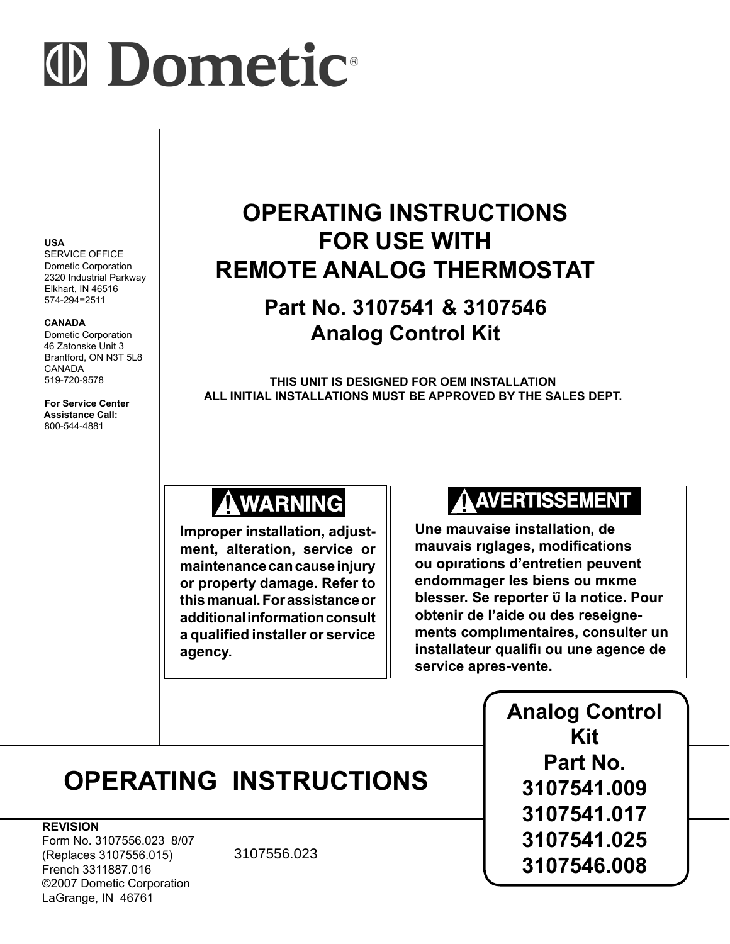# (D Dometic

#### **USA**

SERVICE OFFICE Dometic Corporation 2320 Industrial Parkway Elkhart, IN 46516 574-294=2511

#### **CANADA**

LaGrange, IN 46761

Dometic Corporation 46 Zatonske Unit 3 Brantford, ON N3T 5L8 CANADA 519-720-9578

**For Service Center Assistance Call:** 800-544-4881

# **OPERATING INSTRUCTIONS FOR USE WITH REMOTE ANALOG THERMOSTAT**

## **Part No. 3107541 & 3107546 Analog Control Kit**

**THIS UNIT IS DESIGNED FOR OEM INSTALLATION ALL INITIAL INSTALLATIONS MUST BE APPROVED BY THE SALES DEPT.**

# **AWARNING**

**Improper installation, adjustment, alteration, service or maintenance can cause injury or property damage. Refer to this manual. For assistance or additional information consult a qualified installer or service agency.** 

# **AAVERTISSEMENT**

**Une mauvaise installation, de mauvais rιglages, modifications ou opιrations d'entretien peuvent endommager les biens ou mκme blesser. Se reporter ΰ la notice. Pour obtenir de l'aide ou des reseignements complιmentaires, consulter un installateur qualifiι ou une agence de service apres-vente.** 

|                                                                                                                           |                               | <b>Analog Control</b><br>Kit<br>Part No.<br>3107541.009<br>3107541.017<br>3107541.025<br>3107546.008 |
|---------------------------------------------------------------------------------------------------------------------------|-------------------------------|------------------------------------------------------------------------------------------------------|
|                                                                                                                           | <b>OPERATING INSTRUCTIONS</b> |                                                                                                      |
| <b>REVISION</b><br>Form No. 3107556.023 8/07<br>(Replaces 3107556.015)<br>French 3311887.016<br>©2007 Dometic Corporation | 3107556.023                   |                                                                                                      |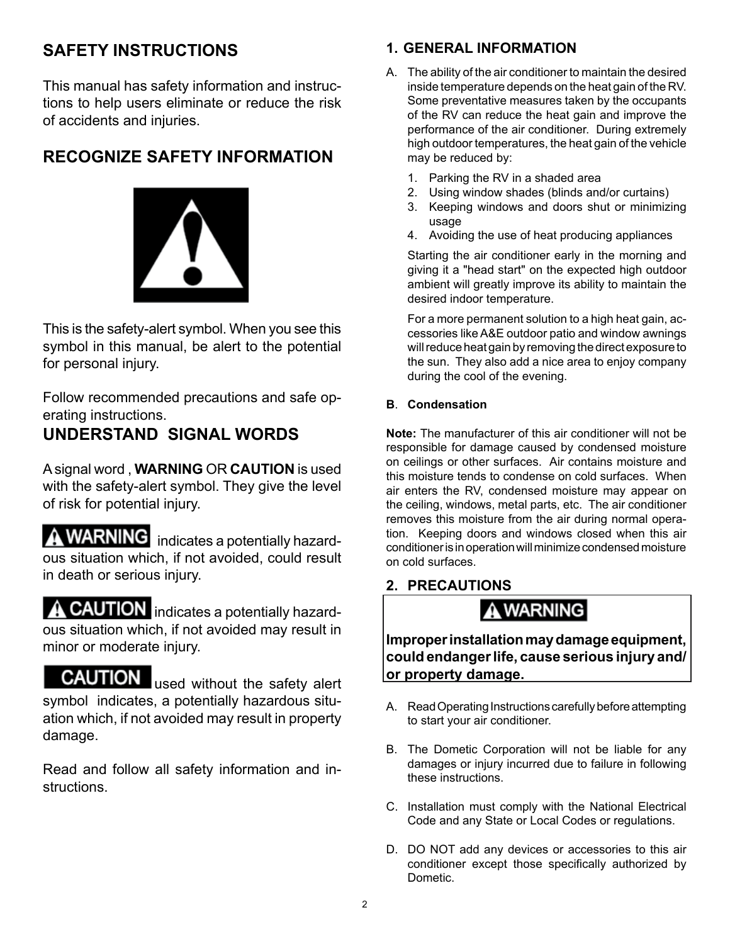## **Safety Instructions**

This manual has safety information and instructions to help users eliminate or reduce the risk of accidents and injuries.

## **Recognize Safety Information**



This is the safety-alert symbol. When you see this symbol in this manual, be alert to the potential for personal injury.

Follow recommended precautions and safe operating instructions.

### **Understand Signal Words**

A signal word , **WARNING** OR **CAUTION** is used with the safety-alert symbol. They give the level of risk for potential injury.

**WARNING** indicates a potentially hazardous situation which, if not avoided, could result in death or serious injury.

**CAUTION** indicates a potentially hazardous situation which, if not avoided may result in minor or moderate injury.

**CAUTION** used without the safety alert symbol indicates, a potentially hazardous situation which, if not avoided may result in property damage.

Read and follow all safety information and instructions.

#### **1. GENERAL INFORMATION**

- A. The ability of the air conditioner to maintain the desired inside temperature depends on the heat gain of the RV. Some preventative measures taken by the occupants of the RV can reduce the heat gain and improve the performance of the air conditioner. During extremely high outdoor temperatures, the heat gain of the vehicle may be reduced by:
	- 1. Parking the RV in a shaded area
	- 2. Using window shades (blinds and/or curtains)
	- 3. Keeping windows and doors shut or minimizing usage
	- 4. Avoiding the use of heat producing appliances

Starting the air conditioner early in the morning and giving it a "head start" on the expected high outdoor ambient will greatly improve its ability to maintain the desired indoor temperature.

For a more permanent solution to a high heat gain, accessories like A&E outdoor patio and window awnings will reduce heat gain by removing the direct exposure to the sun. They also add a nice area to enjoy company during the cool of the evening.

#### **B**. **Condensation**

**Note:** The manufacturer of this air conditioner will not be responsible for damage caused by condensed moisture on ceilings or other surfaces. Air contains moisture and this moisture tends to condense on cold surfaces. When air enters the RV, condensed moisture may appear on the ceiling, windows, metal parts, etc. The air conditioner removes this moisture from the air during normal operation. Keeping doors and windows closed when this air conditioner is in operation will minimize condensed moisture on cold surfaces.

#### **2. PRECAUTIONS**

## A WARNING

**Improper installation may damage equipment, could endanger life, cause serious injury and/ or property damage.**

- A. Read Operating Instructions carefully before attempting to start your air conditioner.
- B. The Dometic Corporation will not be liable for any damages or injury incurred due to failure in following these instructions.
- C. Installation must comply with the National Electrical Code and any State or Local Codes or regulations.
- D. DO NOT add any devices or accessories to this air conditioner except those specifically authorized by Dometic.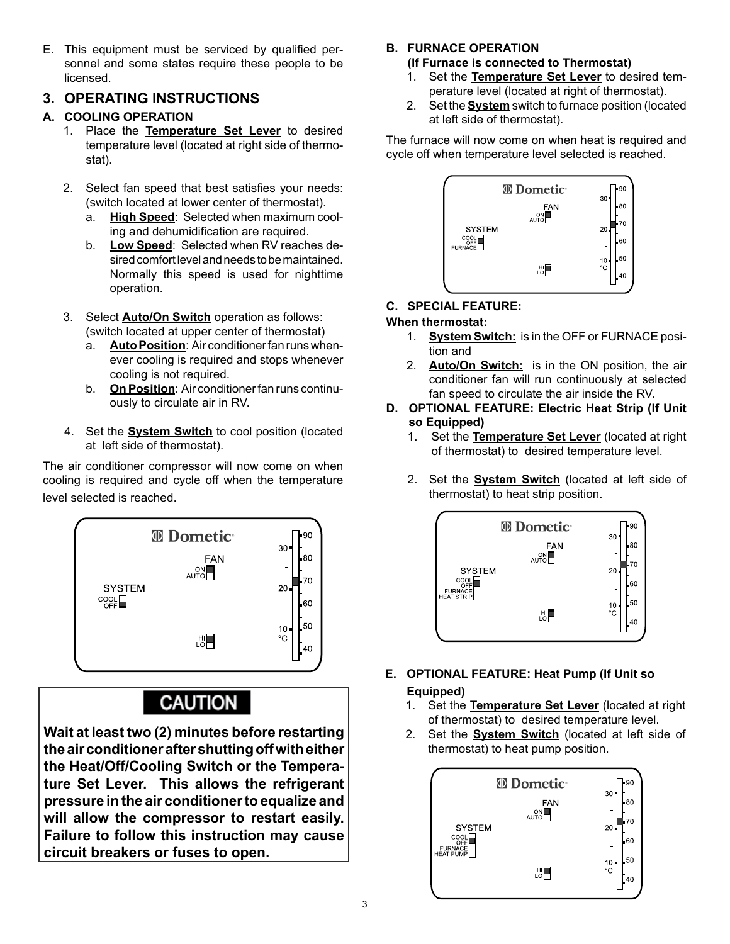E. This equipment must be serviced by qualified personnel and some states require these people to be licensed.

#### **3. OPERATING INSTRUCTIONS**

#### **A. COOLING OPERATION**

- 1. Place the **Temperature Set Lever** to desired temperature level (located at right side of thermostat).
- 2. Select fan speed that best satisfies your needs: (switch located at lower center of thermostat).
	- a. **High Speed**: Selected when maximum cooling and dehumidification are required.
	- b. **Low Speed**: Selected when RV reaches desired comfort level and needs to be maintained. Normally this speed is used for nighttime operation.
- 3. Select **Auto/On Switch** operation as follows: (switch located at upper center of thermostat)
	- a. **Auto Position**: Air conditioner fan runs whenever cooling is required and stops whenever cooling is not required.
	- b. **On Position**: Air conditioner fan runs continuously to circulate air in RV.
- 4. Set the **System Switch** to cool position (located at left side of thermostat).

The air conditioner compressor will now come on when cooling is required and cycle off when the temperature level selected is reached.



## **CAUTION**

**Wait at least two (2) minutes before restarting the air conditioner after shutting off with either the Heat/Off/Cooling Switch or the Temperature Set Lever. This allows the refrigerant pressure in the air conditioner to equalize and will allow the compressor to restart easily. Failure to follow this instruction may cause circuit breakers or fuses to open.**

#### **B. FURNACE OPERATION**

#### **(If Furnace is connected to Thermostat)**

- 1. Set the **Temperature Set Lever** to desired temperature level (located at right of thermostat).
- 2. Set the **System** switch to furnace position (located at left side of thermostat).

The furnace will now come on when heat is required and cycle off when temperature level selected is reached.



#### **C. SPECIAL FEATURE:**

#### **When thermostat:**

- 1. **System Switch:** is in the OFF or FURNACE position and
- 2. **Auto/On Switch:** is in the ON position, the air conditioner fan will run continuously at selected fan speed to circulate the air inside the RV.
- **D. OPTIONAL FEATURE: Electric Heat Strip (If Unit so Equipped)**
	- 1. Set the **Temperature Set Lever** (located at right of thermostat) to desired temperature level.
	- 2. Set the **System Switch** (located at left side of thermostat) to heat strip position.



#### **E. OPTIONAL FEATURE: Heat Pump (If Unit so Equipped)**

- 1. Set the **Temperature Set Lever** (located at right of thermostat) to desired temperature level.
- 2. Set the **System Switch** (located at left side of thermostat) to heat pump position.